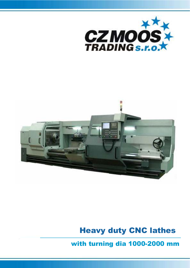



## Heavy duty CNC lathes

with turning dia 1000-2000 mm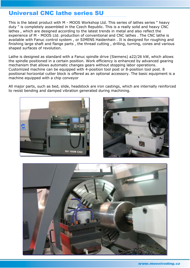## Universal CNC lathe series SU

This is the latest product with M - MOOS Workshop Ltd. This series of lathes series " heavy duty " is completely assembled in the Czech Republic. This is a really solid and heavy CNC lathes , which are designed according to the latest trends in metal and also reflect the experience of M - MOOS Ltd. production of conventional and CNC lathes . The CNC lathe is available with Fanuc control system , or SIMENS Haidenhain . It is designed for roughing and finishing large shaft and flange parts , the thread cutting , drilling, turning, cones and various shaped surfaces of revolution.

Lathe is designed as standard with a Fanuc spindle drive (Siemens) a22/26 kW, which allows the spindle positioned in a certain position. Work efficiency is enhanced by advanced gearing mechanism that allows automatic changes gears without stopping labor operations. Customized machine can be equipped with 4-position tool post or 8-position tool post. 8 positional horizontal cutter block is offered as an optional accessory. The basic equipment is a machine equipped with a chip conveyor

All major parts, such as bed, slide, headstock are iron castings, which are internally reinforced to resist bending and damped vibration generated during machining.